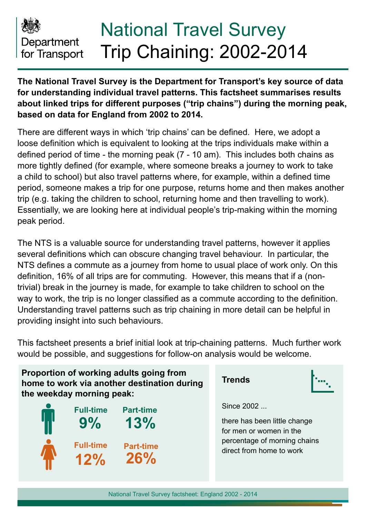

# National Travel Survey Trip Chaining: 2002-2014

**The National Travel Survey is the Department for Transport's key source of data for understanding individual travel patterns. This factsheet summarises results about linked trips for different purposes ("trip chains") during the morning peak, based on data for England from 2002 to 2014.**

There are different ways in which 'trip chains' can be defined. Here, we adopt a loose definition which is equivalent to looking at the trips individuals make within a defined period of time - the morning peak (7 - 10 am). This includes both chains as more tightly defined (for example, where someone breaks a journey to work to take a child to school) but also travel patterns where, for example, within a defined time period, someone makes a trip for one purpose, returns home and then makes another trip (e.g. taking the children to school, returning home and then travelling to work). Essentially, we are looking here at individual people's trip-making within the morning peak period.

The NTS is a valuable source for understanding travel patterns, however it applies several definitions which can obscure changing travel behaviour. In particular, the NTS defines a commute as a journey from home to usual place of work only. On this definition, 16% of all trips are for commuting. However, this means that if a (nontrivial) break in the journey is made, for example to take children to school on the way to work, the trip is no longer classified as a commute according to the definition. Understanding travel patterns such as trip chaining in more detail can be helpful in providing insight into such behaviours.

This factsheet presents a brief initial look at trip-chaining patterns. Much further work would be possible, and suggestions for follow-on analysis would be welcome.

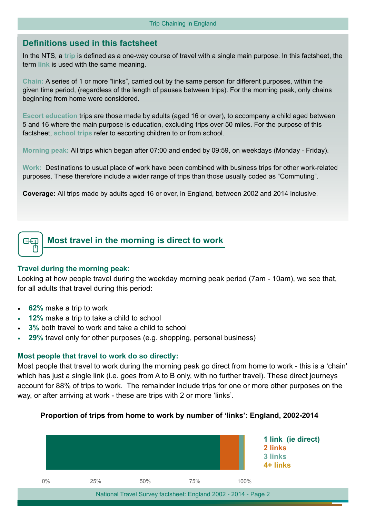## **Definitions used in this factsheet**

In the NTS, a **trip** is defined as a one-way course of travel with a single main purpose. In this factsheet, the term **link** is used with the same meaning.

**Chain:** A series of 1 or more "links", carried out by the same person for different purposes, within the given time period, (regardless of the length of pauses between trips). For the morning peak, only chains beginning from home were considered.

**Escort education** trips are those made by adults (aged 16 or over), to accompany a child aged between 5 and 16 where the main purpose is education, excluding trips over 50 miles. For the purpose of this factsheet, **school trips** refer to escorting children to or from school.

**Morning peak:** All trips which began after 07:00 and ended by 09:59, on weekdays (Monday - Friday).

**Work:** Destinations to usual place of work have been combined with business trips for other work-related purposes. These therefore include a wider range of trips than those usually coded as "Commuting".

**Coverage:** All trips made by adults aged 16 or over, in England, between 2002 and 2014 inclusive.



**Most travel in the morning is direct to work**

#### **Travel during the morning peak:**

Looking at how people travel during the weekday morning peak period (7am - 10am), we see that, for all adults that travel during this period:

- **62%** make a trip to work
- **12%** make a trip to take a child to school
- **3%** both travel to work and take a child to school
- **29%** travel only for other purposes (e.g. shopping, personal business)

#### **Most people that travel to work do so directly:**

Most people that travel to work during the morning peak go direct from home to work - this is a 'chain' which has just a single link (i.e. goes from A to B only, with no further travel). These direct journeys account for 88% of trips to work. The remainder include trips for one or more other purposes on the way, or after arriving at work - these are trips with 2 or more 'links'.

#### **Proportion of trips from home to work by number of 'links': England, 2002-2014**

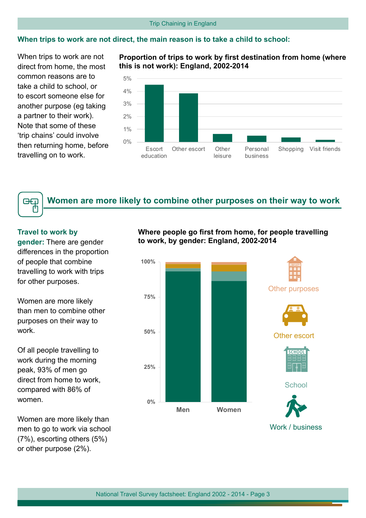#### Trip Chaining in England

#### **When trips to work are not direct, the main reason is to take a child to school:**

When trips to work are not direct from home, the most common reasons are to take a child to school, or to escort someone else for another purpose (eg taking a partner to their work). Note that some of these 'trip chains' could involve then returning home, before travelling on to work.

#### **Proportion of trips to work by first destination from home (where this is not work): England, 2002-2014**



# **Women are more likely to combine other purposes on their way to work**

#### **Travel to work by**

GQ М

**gender:** There are gender differences in the proportion of people that combine travelling to work with trips for other purposes.

Women are more likely than men to combine other purposes on their way to work.

Of all people travelling to work during the morning peak, 93% of men go direct from home to work, compared with 86% of women.

Women are more likely than men to go to work via school (7%), escorting others (5%) or other purpose (2%).

#### **Where people go first from home, for people travelling to work, by gender: England, 2002-2014**



Work / business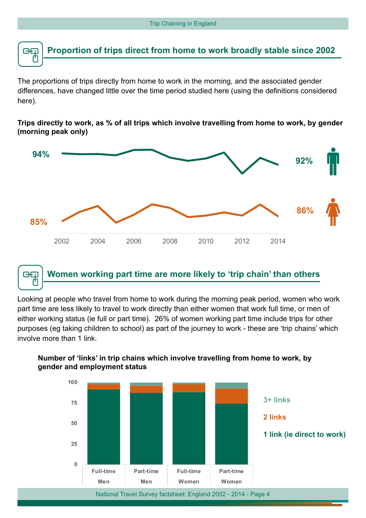

The proportions of trips directly from home to work in the morning, and the associated gender differences, have changed little over the time period studied here (using the definitions considered here).

**Trips directly to work, as % of all trips which involve travelling from home to work, by gender (morning peak only)**



#### **Women working part time are more likely to 'trip chain' than others** œo

Looking at people who travel from home to work during the morning peak period, women who work part time are less likely to travel to work directly than either women that work full time, or men of either working status (ie full or part time). 26% of women working part time include trips for other purposes (eg taking children to school) as part of the journey to work - these are 'trip chains' which involve more than 1 link.



### **Number of 'links' in trip chains which involve travelling from home to work, by gender and employment status**